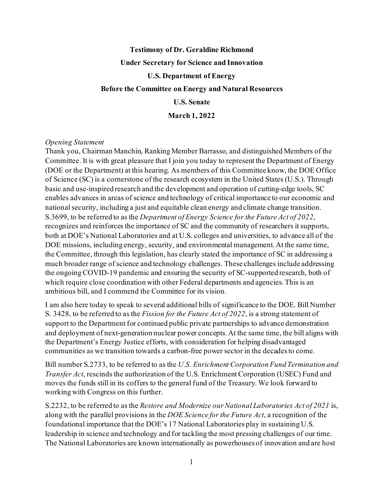# **Testimony of Dr. Geraldine Richmond Under Secretary for Science and Innovation U.S. Department of Energy Before the Committee on Energy and Natural Resources U.S. Senate March 1, 2022**

#### *Opening Statement*

Thank you, Chairman Manchin, Ranking Member Barrasso, and distinguished Members of the Committee. It is with great pleasure that I join you today to represent the Department of Energy (DOE or the Department) at this hearing. As members of this Committee know, the DOE Office of Science (SC) is a cornerstone of the research ecosystem in the United States (U.S.). Through basic and use-inspired research and the development and operation of cutting-edge tools, SC enables advances in areas of science and technology of critical importance to our economic and national security, including a just and equitable clean energy and climate change transition. S.3699, to be referred to as the *Department of Energy Science for the Future Act of 2022*, recognizes and reinforces the importance of SC and the community of researchers it supports, both at DOE's National Laboratories and at U.S. colleges and universities, to advance all of the DOE missions, including energy, security, and environmental management. At the same time, the Committee, through this legislation, has clearly stated the importance of SC in addressing a much broader range of science and technology challenges. These challenges include addressing the ongoing COVID-19 pandemic and ensuring the security of SC-supported research, both of which require close coordination with other Federal departments and agencies. This is an ambitious bill, and I commend the Committee for its vision.

I am also here today to speak to several additional bills of significance to the DOE. Bill Number S. 3428, to be referred to as the *Fission for the Future Act of 2022*, is a strong statement of support to the Department for continued public private partnerships to advance demonstration and deployment of next-generation nuclear power concepts. At the same time, the bill aligns with the Department's Energy Justice efforts, with consideration for helping disadvantaged communities as we transition towards a carbon-free power sector in the decades to come.

Bill number S.2733, to be referred to as the *U.S. Enrichment Corporation Fund Termination and Transfer Act*, rescinds the authorization of the U.S. Enrichment Corporation (USEC) Fund and moves the funds still in its coffers to the general fund of the Treasury. We look forward to working with Congress on this further.

S.2232, to be referred to as the *Restore and Modernize our National Laboratories Act of 2021* is, along with the parallel provisions in the *DOE Science for the Future Act*, a recognition of the foundational importance that the DOE's 17 National Laboratories play in sustaining U.S. leadership in science and technology and for tackling the most pressing challenges of our time. The National Laboratories are known internationally as powerhouses of innovation and are host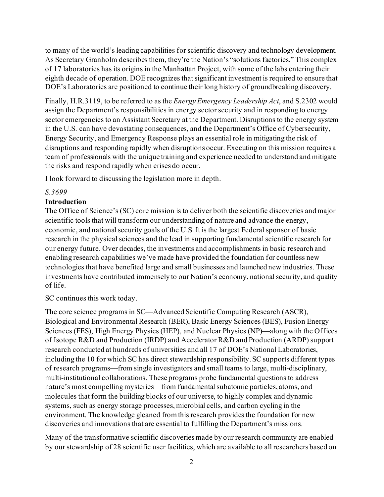to many of the world's leading capabilities for scientific discovery and technology development. As Secretary Granholm describes them, they're the Nation's "solutions factories." This complex of 17 laboratories has its origins in the Manhattan Project, with some of the labs entering their eighth decade of operation. DOE recognizes that significant investment is required to ensure that DOE's Laboratories are positioned to continue their long history of groundbreaking discovery.

Finally, H.R.3119, to be referred to as the *Energy Emergency Leadership Act*, and S.2302 would assign the Department's responsibilities in energy sector security and in responding to energy sector emergencies to an Assistant Secretary at the Department. Disruptions to the energy system in the U.S. can have devastating consequences, and the Department's Office of Cybersecurity, Energy Security, and Emergency Response plays an essential role in mitigating the risk of disruptions and responding rapidly when disruptions occur. Executing on this mission requires a team of professionals with the unique training and experience needed to understand and mitigate the risks and respond rapidly when crises do occur.

I look forward to discussing the legislation more in depth.

#### *S.3699*

# **Introduction**

The Office of Science's (SC) core mission is to deliver both the scientific discoveries and major scientific tools that will transform our understanding of nature and advance the energy, economic, and national security goals of the U.S. It is the largest Federal sponsor of basic research in the physical sciences and the lead in supporting fundamental scientific research for our energy future. Over decades, the investments and accomplishments in basic research and enabling research capabilities we've made have provided the foundation for countless new technologies that have benefited large and small businesses and launched new industries. These investments have contributed immensely to our Nation's economy, national security, and quality of life.

SC continues this work today.

The core science programs in SC—Advanced Scientific Computing Research (ASCR), Biological and Environmental Research (BER), Basic Energy Sciences (BES), Fusion Energy Sciences (FES), High Energy Physics (HEP), and Nuclear Physics (NP)—along with the Offices of Isotope R&D and Production (IRDP) and Accelerator R&D and Production (ARDP) support research conducted at hundreds of universities and all 17 of DOE's National Laboratories, including the 10 for which SC has direct stewardship responsibility. SC supports different types of research programs—from single investigators and small teams to large, multi-disciplinary, multi-institutional collaborations. These programs probe fundamental questions to address nature's most compelling mysteries—from fundamental subatomic particles, atoms, and molecules that form the building blocks of our universe, to highly complex and dynamic systems, such as energy storage processes, microbial cells, and carbon cycling in the environment. The knowledge gleaned from this research provides the foundation for new discoveries and innovations that are essential to fulfilling the Department's missions.

Many of the transformative scientific discoveries made by our research community are enabled by our stewardship of 28 scientific user facilities, which are available to all researchers based on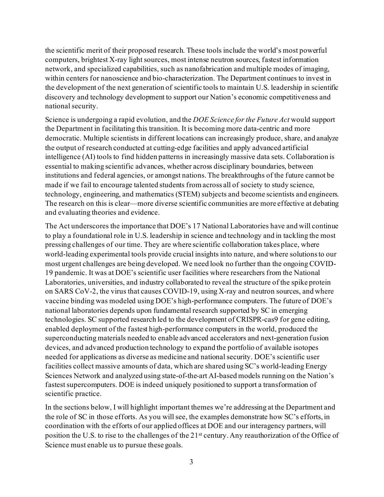the scientific merit of their proposed research. These tools include the world's most powerful computers, brightest X-ray light sources, most intense neutron sources, fastest information network, and specialized capabilities, such as nanofabrication and multiple modes of imaging, within centers for nanoscience and bio-characterization. The Department continues to invest in the development of the next generation of scientific tools to maintain U.S. leadership in scientific discovery and technology development to support our Nation's economic competitiveness and national security.

Science is undergoing a rapid evolution, and the *DOE Science for the Future Act* would support the Department in facilitating this transition. It is becoming more data-centric and more democratic. Multiple scientists in different locations can increasingly produce, share, and analyze the output of research conducted at cutting-edge facilities and apply advanced artificial intelligence (AI) tools to find hidden patterns in increasingly massive data sets. Collaboration is essential to making scientific advances, whether across disciplinary boundaries, between institutions and federal agencies, or amongst nations. The breakthroughs of the future cannot be made if we fail to encourage talented students from across all of society to study science, technology, engineering, and mathematics (STEM) subjects and become scientists and engineers. The research on this is clear—more diverse scientific communities are more effective at debating and evaluating theories and evidence.

The Act underscores the importance that DOE's 17 National Laboratories have and will continue to play a foundational role in U.S. leadership in science and technology and in tackling the most pressing challenges of our time. They are where scientific collaboration takes place, where world-leading experimental tools provide crucial insights into nature, and where solutions to our most urgent challenges are being developed. We need look no further than the ongoing COVID-19 pandemic. It was at DOE's scientific user facilities where researchers from the National Laboratories, universities, and industry collaborated to reveal the structure of the spike protein on SARS CoV-2, the virus that causes COVID-19, using X-ray and neutron sources, and where vaccine binding was modeled using DOE's high-performance computers. The future of DOE's national laboratories depends upon fundamental research supported by SC in emerging technologies. SC supported research led to the development of CRISPR-cas9 for gene editing, enabled deployment of the fastest high-performance computers in the world, produced the superconducting materials needed to enable advanced accelerators and next-generation fusion devices, and advanced production technology to expand the portfolio of available isotopes needed for applications as diverse as medicine and national security. DOE's scientific user facilities collect massive amounts of data, which are shared using SC's world-leading Energy Sciences Network and analyzed using state-of-the-art AI-based models running on the Nation's fastest supercomputers. DOE is indeed uniquely positioned to support a transformation of scientific practice.

In the sections below, I will highlight important themes we're addressing at the Department and the role of SC in those efforts. As you will see, the examples demonstrate how SC's efforts, in coordination with the efforts of our applied offices at DOE and our interagency partners, will position the U.S. to rise to the challenges of the 21st century. Any reauthorization of the Office of Science must enable us to pursue these goals.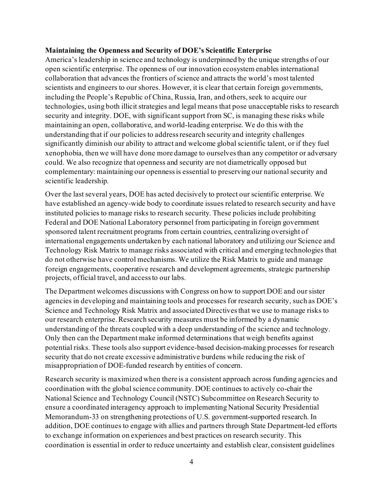#### **Maintaining the Openness and Security of DOE's Scientific Enterprise**

America's leadership in science and technology is underpinned by the unique strengths of our open scientific enterprise. The openness of our innovation ecosystem enables international collaboration that advances the frontiers of science and attracts the world's most talented scientists and engineers to our shores. However, it is clear that certain foreign governments, including the People's Republic of China, Russia, Iran, and others, seek to acquire our technologies, using both illicit strategies and legal means that pose unacceptable risks to research security and integrity. DOE, with significant support from SC, is managing these risks while maintaining an open, collaborative, and world-leading enterprise. We do this with the understanding that if our policies to address research security and integrity challenges significantly diminish our ability to attract and welcome global scientific talent, or if they fuel xenophobia, then we will have done more damage to ourselves than any competitor or adversary could. We also recognize that openness and security are not diametrically opposed but complementary: maintaining our openness is essential to preserving our national security and scientific leadership.

Over the last several years, DOE has acted decisively to protect our scientific enterprise. We have established an agency-wide body to coordinate issues related to research security and have instituted policies to manage risks to research security. These policies include prohibiting Federal and DOE National Laboratory personnel from participating in foreign government sponsored talent recruitment programs from certain countries, centralizing oversight of international engagements undertaken by each national laboratory and utilizing our Science and Technology Risk Matrix to manage risks associated with critical and emerging technologies that do not otherwise have control mechanisms. We utilize the Risk Matrix to guide and manage foreign engagements, cooperative research and development agreements, strategic partnership projects, official travel, and access to our labs.

The Department welcomes discussions with Congress on how to support DOE and our sister agencies in developing and maintaining tools and processes for research security, such as DOE's Science and Technology Risk Matrix and associated Directives that we use to manage risks to our research enterprise. Research security measures must be informed by a dynamic understanding of the threats coupled with a deep understanding of the science and technology. Only then can the Department make informed determinations that weigh benefits against potential risks. These tools also support evidence-based decision-making processes for research security that do not create excessive administrative burdens while reducing the risk of misappropriation of DOE-funded research by entities of concern.

Research security is maximized when there is a consistent approach across funding agencies and coordination with the global science community. DOE continues to actively co-chair the National Science and Technology Council (NSTC) Subcommittee on Research Security to ensure a coordinated interagency approach to implementing National Security Presidential Memorandum-33 on strengthening protections of U.S. government-supported research. In addition, DOE continues to engage with allies and partners through State Department-led efforts to exchange information on experiences and best practices on research security. This coordination is essential in order to reduce uncertainty and establish clear, consistent guidelines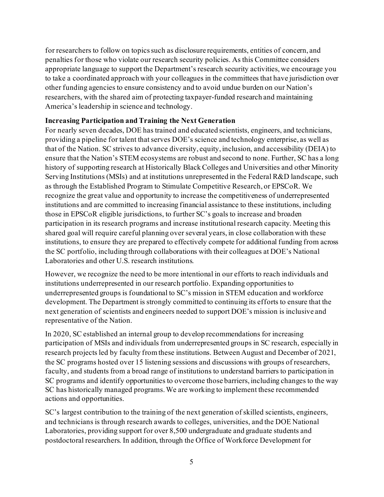for researchers to follow on topics such as disclosure requirements, entities of concern, and penalties for those who violate our research security policies. As this Committee considers appropriate language to support the Department's research security activities, we encourage you to take a coordinated approach with your colleagues in the committees that have jurisdiction over other funding agencies to ensure consistency and to avoid undue burden on our Nation's researchers, with the shared aim of protecting taxpayer-funded research and maintaining America's leadership in science and technology.

## **Increasing Participation and Training the Next Generation**

For nearly seven decades, DOE has trained and educated scientists, engineers, and technicians, providing a pipeline for talent that serves DOE's science and technology enterprise, as well as that of the Nation. SC strives to advance diversity, equity, inclusion, and accessibility (DEIA) to ensure that the Nation's STEM ecosystems are robust and second to none. Further, SC has a long history of supporting research at Historically Black Colleges and Universities and other Minority Serving Institutions (MSIs) and at institutions unrepresented in the Federal R&D landscape, such as through the Established Program to Stimulate Competitive Research, or EPSCoR. We recognize the great value and opportunity to increase the competitiveness of underrepresented institutions and are committed to increasing financial assistance to these institutions, including those in EPSCoR eligible jurisdictions, to further SC's goals to increase and broaden participation in its research programs and increase institutional research capacity. Meeting this shared goal will require careful planning over several years, in close collaboration with these institutions, to ensure they are prepared to effectively compete for additional funding from across the SC portfolio, including through collaborations with their colleagues at DOE's National Laboratories and other U.S. research institutions.

However, we recognize the need to be more intentional in our efforts to reach individuals and institutions underrepresented in our research portfolio. Expanding opportunities to underrepresented groups is foundational to SC's mission in STEM education and workforce development. The Department is strongly committed to continuing its efforts to ensure that the next generation of scientists and engineers needed to support DOE's mission is inclusive and representative of the Nation.

In 2020, SC established an internal group to develop recommendations for increasing participation of MSIs and individuals from underrepresented groups in SC research, especially in research projects led by faculty from these institutions. Between August and December of 2021, the SC programs hosted over 15 listening sessions and discussions with groups of researchers, faculty, and students from a broad range of institutions to understand barriers to participation in SC programs and identify opportunities to overcome those barriers, including changes to the way SC has historically managed programs. We are working to implement these recommended actions and opportunities.

SC's largest contribution to the training of the next generation of skilled scientists, engineers, and technicians is through research awards to colleges, universities, and the DOE National Laboratories, providing support for over 8,500 undergraduate and graduate students and postdoctoral researchers. In addition, through the Office of Workforce Development for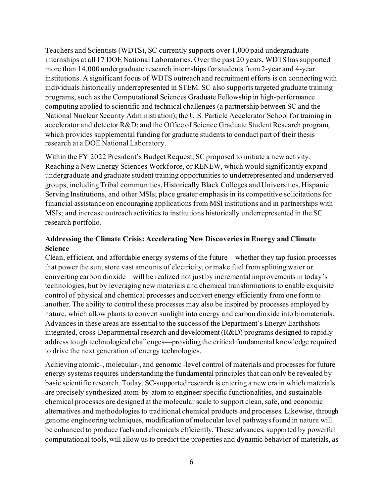Teachers and Scientists (WDTS), SC currently supports over 1,000 paid undergraduate internships at all 17 DOE National Laboratories. Over the past 20 years, WDTS has supported more than 14,000 undergraduate research internships for students from 2-year and 4-year institutions. A significant focus of WDTS outreach and recruitment efforts is on connecting with individuals historically underrepresented in STEM. SC also supports targeted graduate training programs, such as the Computational Sciences Graduate Fellowship in high-performance computing applied to scientific and technical challenges (a partnership between SC and the National Nuclear Security Administration); the U.S. Particle Accelerator School for training in accelerator and detector R&D; and the Office of Science Graduate Student Research program, which provides supplemental funding for graduate students to conduct part of their thesis research at a DOE National Laboratory.

Within the FY 2022 President's Budget Request, SC proposed to initiate a new activity, Reaching a New Energy Sciences Workforce, or RENEW, which would significantly expand undergraduate and graduate student training opportunities to underrepresented and underserved groups, including Tribal communities, Historically Black Colleges and Universities, Hispanic Serving Institutions, and other MSIs; place greater emphasis in its competitive solicitations for financial assistance on encouraging applications from MSI institutions and in partnerships with MSIs; and increase outreach activities to institutions historically underrepresented in the SC research portfolio.

# **Addressing the Climate Crisis: Accelerating New Discoveries in Energy and Climate Science**

Clean, efficient, and affordable energy systems of the future—whether they tap fusion processes that power the sun, store vast amounts of electricity, or make fuel from splitting water or converting carbon dioxide—will be realized not just by incremental improvements in today's technologies, but by leveraging new materials and chemical transformations to enable exquisite control of physical and chemical processes and convert energy efficiently from one form to another. The ability to control these processes may also be inspired by processes employed by nature, which allow plants to convert sunlight into energy and carbon dioxide into biomaterials. Advances in these areas are essential to the success of the Department's Energy Earthshots integrated, cross-Departmental research and development (R&D) programs designed to rapidly address tough technological challenges—providing the critical fundamental knowledge required to drive the next generation of energy technologies.

Achieving atomic-, molecular-, and genomic -level control of materials and processes for future energy systems requires understanding the fundamental principles that can only be revealed by basic scientific research. Today, SC-supported research is entering a new era in which materials are precisely synthesized atom-by-atom to engineer specific functionalities, and sustainable chemical processes are designed at the molecular scale to support clean, safe, and economic alternatives and methodologies to traditional chemical products and processes. Likewise, through genome engineering techniques, modification of molecular level pathways found in nature will be enhanced to produce fuels and chemicals efficiently. These advances, supported by powerful computational tools, will allow us to predict the properties and dynamic behavior of materials, as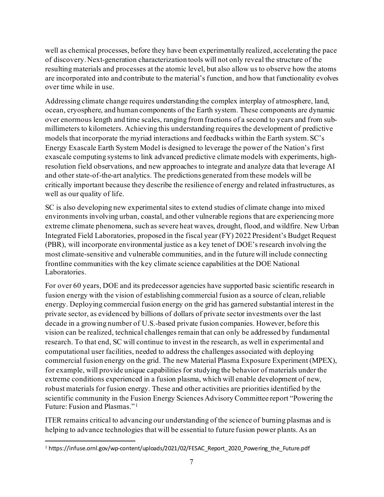well as chemical processes, before they have been experimentally realized, accelerating the pace of discovery. Next-generation characterization tools will not only reveal the structure of the resulting materials and processes at the atomic level, but also allow us to observe how the atoms are incorporated into and contribute to the material's function, and how that functionality evolves over time while in use.

Addressing climate change requires understanding the complex interplay of atmosphere, land, ocean, cryosphere, and human components of the Earth system. These components are dynamic over enormous length and time scales, ranging from fractions of a second to years and from submillimeters to kilometers. Achieving this understanding requires the development of predictive models that incorporate the myriad interactions and feedbacks within the Earth system. SC's Energy Exascale Earth System Model is designed to leverage the power of the Nation's first exascale computing systems to link advanced predictive climate models with experiments, highresolution field observations, and new approaches to integrate and analyze data that leverage AI and other state-of-the-art analytics. The predictions generated from these models will be critically important because they describe the resilience of energy and related infrastructures, as well as our quality of life.

SC is also developing new experimental sites to extend studies of climate change into mixed environments involving urban, coastal, and other vulnerable regions that are experiencing more extreme climate phenomena, such as severe heat waves, drought, flood, and wildfire. New Urban Integrated Field Laboratories, proposed in the fiscal year (FY) 2022 President's Budget Request (PBR), will incorporate environmental justice as a key tenet of DOE's research involving the most climate-sensitive and vulnerable communities, and in the future will include connecting frontline communities with the key climate science capabilities at the DOE National Laboratories.

For over 60 years, DOE and its predecessor agencies have supported basic scientific research in fusion energy with the vision of establishing commercial fusion as a source of clean, reliable energy. Deploying commercial fusion energy on the grid has garnered substantial interest in the private sector, as evidenced by billions of dollars of private sector investments over the last decade in a growing number of U.S.-based private fusion companies. However, before this vision can be realized, technical challenges remain that can only be addressed by fundamental research. To that end, SC will continue to invest in the research, as well in experimental and computational user facilities, needed to address the challenges associated with deploying commercial fusion energy on the grid. The new Material Plasma Exposure Experiment (MPEX), for example, will provide unique capabilities for studying the behavior of materials under the extreme conditions experienced in a fusion plasma, which will enable development of new, robust materials for fusion energy. These and other activities are priorities identified by the scientific community in the Fusion Energy Sciences Advisory Committee report "Powering the Future: Fusion and Plasmas." [1](#page-6-0)

ITER remains critical to advancing our understanding of the science of burning plasmas and is helping to advance technologies that will be essential to future fusion power plants. As an

<span id="page-6-0"></span><sup>1</sup> https://infuse.ornl.gov/wp-content/uploads/2021/02/FESAC\_Report\_2020\_Powering\_the\_Future.pdf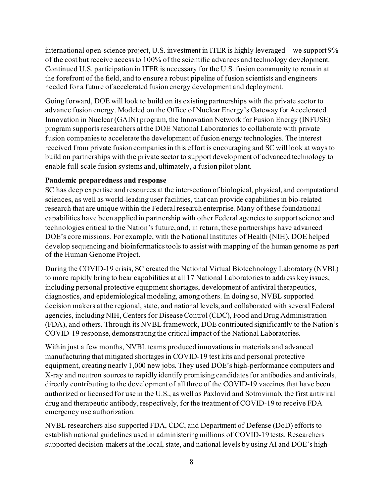international open-science project, U.S. investment in ITER is highly leveraged—we support 9% of the cost but receive access to 100% of the scientific advances and technology development. Continued U.S. participation in ITER is necessary for the U.S. fusion community to remain at the forefront of the field, and to ensure a robust pipeline of fusion scientists and engineers needed for a future of accelerated fusion energy development and deployment.

Going forward, DOE will look to build on its existing partnerships with the private sector to advance fusion energy. Modeled on the Office of Nuclear Energy's Gateway for Accelerated Innovation in Nuclear (GAIN) program, the Innovation Network for Fusion Energy (INFUSE) program supports researchers at the DOE National Laboratories to collaborate with private fusion companies to accelerate the development of fusion energy technologies. The interest received from private fusion companies in this effort is encouraging and SC will look at ways to build on partnerships with the private sector to support development of advanced technology to enable full-scale fusion systems and, ultimately, a fusion pilot plant.

#### **Pandemic preparedness and response**

SC has deep expertise and resources at the intersection of biological, physical, and computational sciences, as well as world-leading user facilities, that can provide capabilities in bio-related research that are unique within the Federal research enterprise. Many of these foundational capabilities have been applied in partnership with other Federal agencies to support science and technologies critical to the Nation's future, and, in return, these partnerships have advanced DOE's core missions. For example, with the National Institutes of Health (NIH), DOE helped develop sequencing and bioinformatics tools to assist with mapping of the human genome as part of the Human Genome Project.

During the COVID-19 crisis, SC created the National Virtual Biotechnology Laboratory (NVBL) to more rapidly bring to bear capabilities at all 17 National Laboratories to address key issues, including personal protective equipment shortages, development of antiviral therapeutics, diagnostics, and epidemiological modeling, among others. In doing so, NVBL supported decision makers at the regional, state, and national levels, and collaborated with several Federal agencies, including NIH, Centers for Disease Control (CDC), Food and Drug Administration (FDA), and others. Through its NVBL framework, DOE contributed significantly to the Nation's COVID-19 response, demonstrating the critical impact of the National Laboratories.

Within just a few months, NVBL teams produced innovations in materials and advanced manufacturing that mitigated shortages in COVID-19 test kits and personal protective equipment, creating nearly 1,000 new jobs. They used DOE's high-performance computers and X-ray and neutron sources to rapidly identify promising candidates for antibodies and antivirals, directly contributing to the development of all three of the COVID-19 vaccines that have been authorized or licensed for use in the U.S., as well as Paxlovid and Sotrovimab, the first antiviral drug and therapeutic antibody, respectively, for the treatment of COVID-19 to receive FDA emergency use authorization.

NVBL researchers also supported FDA, CDC, and Department of Defense (DoD) efforts to establish national guidelines used in administering millions of COVID-19 tests. Researchers supported decision-makers at the local, state, and national levels by using AI and DOE's high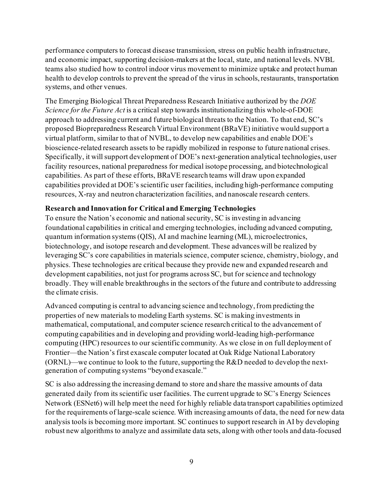performance computers to forecast disease transmission, stress on public health infrastructure, and economic impact, supporting decision-makers at the local, state, and national levels. NVBL teams also studied how to control indoor virus movement to minimize uptake and protect human health to develop controls to prevent the spread of the virus in schools, restaurants, transportation systems, and other venues.

The Emerging Biological Threat Preparedness Research Initiative authorized by the *DOE Science for the Future Act* is a critical step towards institutionalizing this whole-of-DOE approach to addressing current and future biological threats to the Nation. To that end, SC's proposed Biopreparedness Research Virtual Environment (BRaVE) initiative would support a virtual platform, similar to that of NVBL, to develop new capabilities and enable DOE's bioscience-related research assets to be rapidly mobilized in response to future national crises. Specifically, it will support development of DOE's next-generation analytical technologies, user facility resources, national preparedness for medical isotope processing, and biotechnological capabilities. As part of these efforts, BRaVE research teams will draw upon expanded capabilities provided at DOE's scientific user facilities, including high-performance computing resources, X-ray and neutron characterization facilities, and nanoscale research centers.

# **Research and Innovation for Critical and Emerging Technologies**

To ensure the Nation's economic and national security, SC is investing in advancing foundational capabilities in critical and emerging technologies, including advanced computing, quantum information systems (QIS), AI and machine learning (ML), microelectronics, biotechnology, and isotope research and development. These advanceswill be realized by leveraging SC's core capabilities in materials science, computer science, chemistry, biology, and physics. These technologies are critical because they provide new and expanded research and development capabilities, not just for programs across SC, but for science and technology broadly. They will enable breakthroughs in the sectors of the future and contribute to addressing the climate crisis.

Advanced computing is central to advancing science and technology, from predicting the properties of new materials to modeling Earth systems. SC is making investments in mathematical, computational, and computer science research critical to the advancement of computing capabilities and in developing and providing world-leading high-performance computing (HPC) resources to our scientific community. As we close in on full deployment of Frontier—the Nation's first exascale computer located at Oak Ridge National Laboratory (ORNL)—we continue to look to the future, supporting the R&D needed to develop the nextgeneration of computing systems "beyond exascale."

SC is also addressing the increasing demand to store and share the massive amounts of data generated daily from its scientific user facilities. The current upgrade to SC's Energy Sciences Network (ESNet6) will help meet the need for highly reliable data transport capabilities optimized for the requirements of large-scale science. With increasing amounts of data, the need for new data analysis tools is becoming more important. SC continues to support research in AI by developing robust new algorithms to analyze and assimilate data sets, along with other tools and data-focused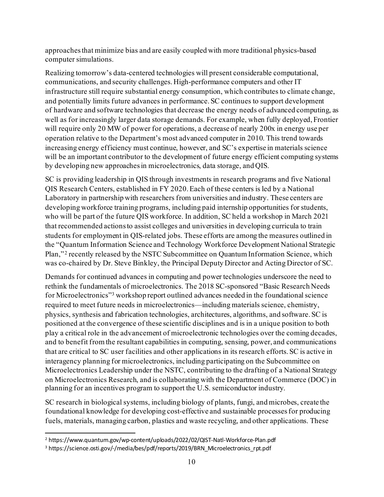approaches that minimize bias and are easily coupled with more traditional physics-based computer simulations.

Realizing tomorrow's data-centered technologies will present considerable computational, communications, and security challenges. High-performance computers and other IT infrastructure still require substantial energy consumption, which contributes to climate change, and potentially limits future advances in performance. SC continues to support development of hardware and software technologies that decrease the energy needs of advanced computing, as well as for increasingly larger data storage demands. For example, when fully deployed, Frontier will require only 20 MW of power for operations, a decrease of nearly 200x in energy use per operation relative to the Department's most advanced computer in 2010. This trend towards increasing energy efficiency must continue, however, and SC's expertise in materials science will be an important contributor to the development of future energy efficient computing systems by developing new approaches in microelectronics, data storage, and QIS.

SC is providing leadership in QIS through investments in research programs and five National QIS Research Centers, established in FY 2020.Each of these centers is led by a National Laboratory in partnership with researchers from universities and industry. These centers are developing workforce training programs, including paid internship opportunities for students, who will be part of the future QIS workforce. In addition, SC held a workshop in March 2021 that recommended actions to assist colleges and universities in developing curricula to train students for employment in QIS-related jobs. These efforts are among the measures outlined in the "Quantum Information Science and Technology Workforce Development National Strategic Plan,"<sup>[2](#page-9-0)</sup> recently released by the NSTC Subcommittee on Quantum Information Science, which was co-chaired by Dr. Steve Binkley, the Principal Deputy Director and Acting Director of SC.

Demands for continued advances in computing and power technologies underscore the need to rethink the fundamentals of microelectronics. The 2018 SC-sponsored "Basic Research Needs for Microelectronics"<sup>3</sup> workshop report outlined advances needed in the foundational science required to meet future needs in microelectronics—including materials science, chemistry, physics, synthesis and fabrication technologies, architectures, algorithms, and software. SC is positioned at the convergence of these scientific disciplines and is in a unique position to both play a critical role in the advancement of microelectronic technologies over the coming decades, and to benefit from the resultant capabilities in computing, sensing, power, and communications that are critical to SC user facilities and other applications in its research efforts. SC is active in interagency planning for microelectronics, including participating on the Subcommittee on Microelectronics Leadership under the NSTC, contributing to the drafting of a National Strategy on Microelectronics Research, and is collaborating with the Department of Commerce (DOC) in planning for an incentives program to support the U.S. semiconductor industry.

SC research in biological systems, including biology of plants, fungi, and microbes, create the foundational knowledge for developing cost-effective and sustainable processes for producing fuels, materials, managing carbon, plastics and waste recycling, and other applications. These

<span id="page-9-0"></span><sup>2</sup> https://www.quantum.gov/wp-content/uploads/2022/02/QIST-Natl-Workforce-Plan.pdf

<span id="page-9-1"></span><sup>&</sup>lt;sup>3</sup> https://science.osti.gov/-/media/bes/pdf/reports/2019/BRN\_Microelectronics\_rpt.pdf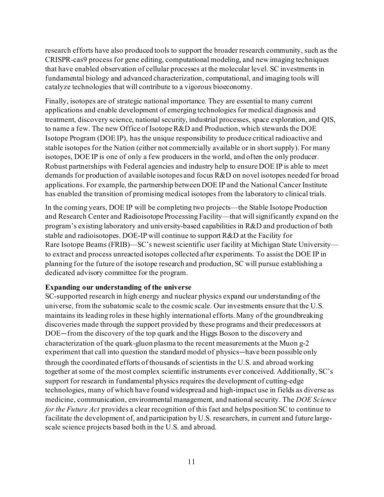research efforts have also produced tools to support the broader research community, such as the CRISPR-cas9 process for gene editing, computational modeling, and new imaging techniques that have enabled observation of cellular processes at the molecular level. SC investments in fundamental biology and advanced characterization, computational, and imaging tools will catalyze technologies that will contribute to a vigorous bioeconomy.

Finally, isotopes are of strategic national importance. They are essential to many current applications and enable development of emerging technologies for medical diagnosis and treatment, discovery science, national security, industrial processes, space exploration, and QIS, to name a few. The new Office of Isotope R&D and Production, which stewards the DOE Isotope Program (DOE IP), has the unique responsibility to produce critical radioactive and stable isotopes for the Nation (either not commercially available or in short supply). For many isotopes, DOE IP is one of only a few producers in the world, and often the only producer. Robust partnerships with Federal agencies and industry help to ensure DOE IP is able to meet demands for production of available isotopes and focus R&D on novel isotopes needed for broad applications. For example, the partnership between DOE IP and the National Cancer Institute has enabled the transition of promising medical isotopes from the laboratory to clinical trials.

In the coming years, DOE IP will be completing two projects—the Stable Isotope Production and Research Center and Radioisotope Processing Facility—that willsignificantly expand on the program's existing laboratory and university-based capabilities in R&D and production of both stable and radioisotopes. DOE-IP will continue to support R&D at the Facility for Rare Isotope Beams (FRIB)—SC's newest scientific user facility at Michigan State University to extract and process unreacted isotopes collected after experiments. To assist the DOE IP in planning for the future of the isotope research and production, SC will pursue establishing a dedicated advisory committee for the program.

#### **Expanding our understanding of the universe**

SC-supported research in high energy and nuclear physics expand our understanding of the universe, from the subatomic scale to the cosmic scale. Our investments ensure that the U.S. maintains its leading roles in these highly international efforts. Many of the groundbreaking discoveries made through the support provided by these programs and their predecessors at DOE—from the discovery of the top quark and the Higgs Boson to the discovery and characterization of the quark-gluon plasma to the recent measurements at the Muon g-2 experiment that call into question the standard model of physics—have been possible only through the coordinated efforts of thousands of scientists in the U.S. and abroad working together at some of the most complex scientific instruments ever conceived. Additionally, SC's support for research in fundamental physics requires the development of cutting-edge technologies, many of which have found widespread and high-impact use in fields as diverse as medicine, communication, environmental management, and national security. The *DOE Science for the Future Act* provides a clear recognition of this fact and helps position SC to continue to facilitate the development of, and participation by U.S. researchers, in current and future largescale science projects based both in the U.S. and abroad.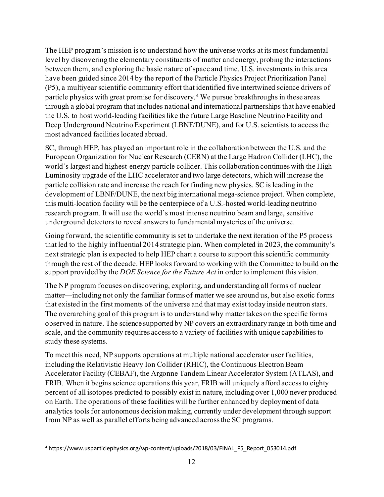The HEP program's mission is to understand how the universe works at its most fundamental level by discovering the elementary constituents of matter and energy, probing the interactions between them, and exploring the basic nature of space and time. U.S. investments in this area have been guided since 2014 by the report of the Particle Physics Project Prioritization Panel (P5), a multiyear scientific community effort that identified five intertwined science drivers of particle physics with great promise for discovery. [4](#page-11-0) We pursue breakthroughs in these areas through a global program that includes national and international partnerships that have enabled the U.S. to host world-leading facilities like the future Large Baseline Neutrino Facility and Deep Underground Neutrino Experiment (LBNF/DUNE), and for U.S. scientists to access the most advanced facilities located abroad.

SC, through HEP, has played an important role in the collaboration between the U.S. and the European Organization for Nuclear Research (CERN) at the Large Hadron Collider (LHC), the world's largest and highest-energy particle collider. This collaboration continues with the High Luminosity upgrade of the LHC accelerator and two large detectors, which will increase the particle collision rate and increase the reach for finding new physics. SC is leading in the development of LBNF/DUNE, the next big international mega-science project. When complete, this multi-location facility will be the centerpiece of a U.S.-hosted world-leading neutrino research program. It will use the world's most intense neutrino beam and large, sensitive underground detectors to reveal answers to fundamental mysteries of the universe.

Going forward, the scientific community is set to undertake the next iteration of the P5 process that led to the highly influential 2014 strategic plan. When completed in 2023, the community's next strategic plan is expected to help HEP chart a course to support this scientific community through the rest of the decade. HEP looks forward to working with the Committee to build on the support provided by the *DOE Science for the Future Act* in order to implement this vision.

The NP program focuses on discovering, exploring, and understanding all forms of nuclear matter—including not only the familiar forms of matter we see around us, but also exotic forms that existed in the first moments of the universe and that may exist today inside neutron stars. The overarching goal of this program is to understand why matter takes on the specific forms observed in nature. The science supported by NP covers an extraordinary range in both time and scale, and the community requires access to a variety of facilities with unique capabilities to study these systems.

To meet this need, NP supports operations at multiple national accelerator user facilities, including the Relativistic Heavy Ion Collider (RHIC), the Continuous Electron Beam Accelerator Facility (CEBAF), the Argonne Tandem Linear Accelerator System (ATLAS), and FRIB. When it begins science operations this year, FRIB will uniquely afford access to eighty percent of all isotopes predicted to possibly exist in nature, including over 1,000 never produced on Earth. The operations of these facilities will be further enhanced by deployment of data analytics tools for autonomous decision making, currently under development through support from NP as well as parallel efforts being advanced across the SC programs.

<span id="page-11-0"></span><sup>4</sup> https://www.usparticlephysics.org/wp-content/uploads/2018/03/FINAL\_P5\_Report\_053014.pdf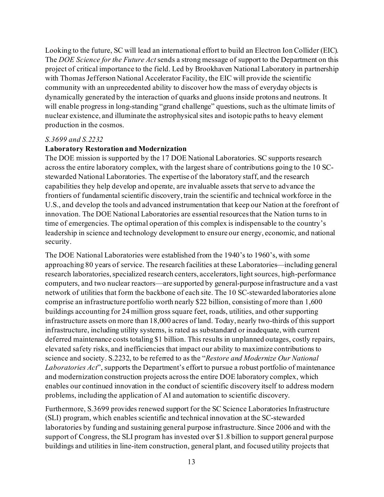Looking to the future, SC will lead an international effort to build an Electron Ion Collider (EIC). The *DOE Science for the Future Act*sends a strong message of support to the Department on this project of critical importance to the field. Led by Brookhaven National Laboratory in partnership with Thomas Jefferson National Accelerator Facility, the EIC will provide the scientific community with an unprecedented ability to discover how the mass of everyday objects is dynamically generated by the interaction of quarks and gluons inside protons and neutrons. It will enable progress in long-standing "grand challenge" questions, such as the ultimate limits of nuclear existence, and illuminate the astrophysical sites and isotopic paths to heavy element production in the cosmos.

#### *S.3699 and S.2232*

#### **Laboratory Restoration and Modernization**

The DOE mission is supported by the 17 DOE National Laboratories. SC supports research across the entire laboratory complex, with the largest share of contributions going to the 10 SCstewarded National Laboratories. The expertise of the laboratory staff, and the research capabilities they help develop and operate, are invaluable assets that serve to advance the frontiers of fundamental scientific discovery, train the scientific and technical workforce in the U.S., and develop the tools and advanced instrumentation that keep our Nation at the forefront of innovation. The DOE National Laboratories are essential resources that the Nation turns to in time of emergencies. The optimal operation of this complex is indispensable to the country's leadership in science and technology development to ensure our energy, economic, and national security.

The DOE National Laboratories were established from the 1940's to 1960's, with some approaching 80 years of service. The research facilities at these Laboratories—including general research laboratories, specialized research centers, accelerators, light sources, high-performance computers, and two nuclear reactors—are supported by general-purpose infrastructure and a vast network of utilities that form the backbone of each site. The 10 SC-stewarded laboratories alone comprise an infrastructure portfolio worth nearly \$22 billion, consisting of more than 1,600 buildings accounting for 24 million gross square feet, roads, utilities, and other supporting infrastructure assets on more than 18,000 acres of land. Today, nearly two-thirds of this support infrastructure, including utility systems, is rated as substandard or inadequate, with current deferred maintenance costs totaling \$1 billion. This results in unplanned outages, costly repairs, elevated safety risks, and inefficiencies that impact our ability to maximize contributions to science and society. S.2232, to be referred to as the "*Restore and Modernize Our National Laboratories Act*", supports the Department's effort to pursue a robust portfolio of maintenance and modernization construction projects across the entire DOE laboratory complex, which enables our continued innovation in the conduct of scientific discovery itself to address modern problems, including the application of AI and automation to scientific discovery.

Furthermore, S.3699 provides renewed support for the SC Science Laboratories Infrastructure (SLI) program, which enables scientific and technical innovation at the SC-stewarded laboratories by funding and sustaining general purpose infrastructure. Since 2006 and with the support of Congress, the SLI program has invested over \$1.8 billion to support general purpose buildings and utilities in line-item construction, general plant, and focused utility projects that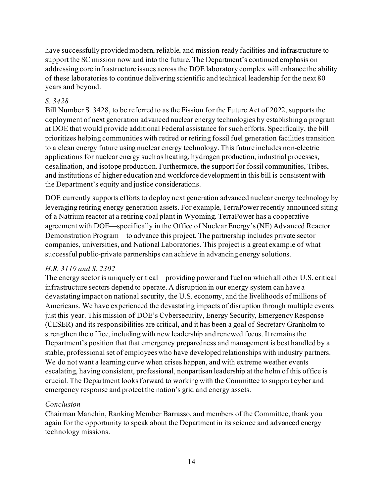have successfully provided modern, reliable, and mission-ready facilities and infrastructure to support the SC mission now and into the future. The Department's continued emphasis on addressing core infrastructure issues across the DOE laboratory complex will enhance the ability of these laboratories to continue delivering scientific and technical leadership for the next 80 years and beyond.

## *S. 3428*

Bill Number S. 3428, to be referred to as the Fission for the Future Act of 2022, supports the deployment of next generation advanced nuclear energy technologies by establishing a program at DOE that would provide additional Federal assistance for such efforts. Specifically, the bill prioritizes helping communities with retired or retiring fossil fuel generation facilities transition to a clean energy future using nuclear energy technology. This future includes non-electric applications for nuclear energy such as heating, hydrogen production, industrial processes, desalination, and isotope production. Furthermore, the support for fossil communities, Tribes, and institutions of higher education and workforce development in this bill is consistent with the Department's equity and justice considerations.

DOE currently supports efforts to deploy next generation advanced nuclear energy technology by leveraging retiring energy generation assets. For example, TerraPower recently announced siting of a Natrium reactor at a retiring coal plant in Wyoming. TerraPower has a cooperative agreement with DOE—specifically in the Office of Nuclear Energy's(NE) Advanced Reactor Demonstration Program—to advance this project. The partnership includes private sector companies, universities, and National Laboratories. This project is a great example of what successful public-private partnerships can achieve in advancing energy solutions.

# *H.R. 3119 and S. 2302*

The energy sector is uniquely critical—providing power and fuel on which all other U.S. critical infrastructure sectors depend to operate. A disruption in our energy system can have a devastating impact on national security, the U.S. economy, and the livelihoods of millions of Americans. We have experienced the devastating impacts of disruption through multiple events just this year. This mission of DOE's Cybersecurity, Energy Security, Emergency Response (CESER) and its responsibilities are critical, and it has been a goal of Secretary Granholm to strengthen the office, including with new leadership and renewed focus. It remains the Department's position that that emergency preparedness and management is best handled by a stable, professional set of employees who have developed relationships with industry partners. We do not want a learning curve when crises happen, and with extreme weather events escalating, having consistent, professional, nonpartisan leadership at the helm of this office is crucial. The Department looks forward to working with the Committee to support cyber and emergency response and protect the nation's grid and energy assets.

# *Conclusion*

Chairman Manchin, Ranking Member Barrasso, and members of the Committee, thank you again for the opportunity to speak about the Department in its science and advanced energy technology missions.